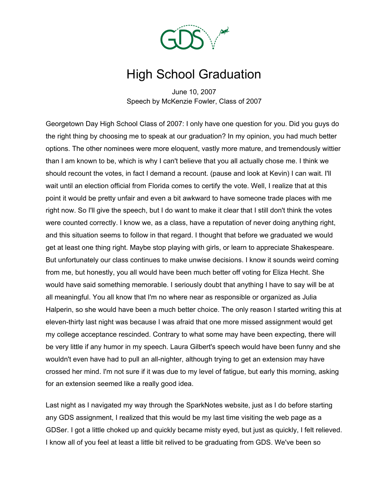

## High School Graduation

June 10, 2007 Speech by McKenzie Fowler, Class of 2007

Georgetown Day High School Class of 2007: I only have one question for you. Did you guys do the right thing by choosing me to speak at our graduation? In my opinion, you had much better options. The other nominees were more eloquent, vastly more mature, and tremendously wittier than I am known to be, which is why I can't believe that you all actually chose me. I think we should recount the votes, in fact I demand a recount. (pause and look at Kevin) I can wait. I'll wait until an election official from Florida comes to certify the vote. Well, I realize that at this point it would be pretty unfair and even a bit awkward to have someone trade places with me right now. So I'll give the speech, but I do want to make it clear that I still don't think the votes were counted correctly. I know we, as a class, have a reputation of never doing anything right, and this situation seems to follow in that regard. I thought that before we graduated we would get at least one thing right. Maybe stop playing with girls, or learn to appreciate Shakespeare. But unfortunately our class continues to make unwise decisions. I know it sounds weird coming from me, but honestly, you all would have been much better off voting for Eliza Hecht. She would have said something memorable. I seriously doubt that anything I have to say will be at all meaningful. You all know that I'm no where near as responsible or organized as Julia Halperin, so she would have been a much better choice. The only reason I started writing this at eleven-thirty last night was because I was afraid that one more missed assignment would get my college acceptance rescinded. Contrary to what some may have been expecting, there will be very little if any humor in my speech. Laura Gilbert's speech would have been funny and she wouldn't even have had to pull an all-nighter, although trying to get an extension may have crossed her mind. I'm not sure if it was due to my level of fatigue, but early this morning, asking for an extension seemed like a really good idea.

Last night as I navigated my way through the SparkNotes website, just as I do before starting any GDS assignment, I realized that this would be my last time visiting the web page as a GDSer. I got a little choked up and quickly became misty eyed, but just as quickly, I felt relieved. I know all of you feel at least a little bit relived to be graduating from GDS. We've been so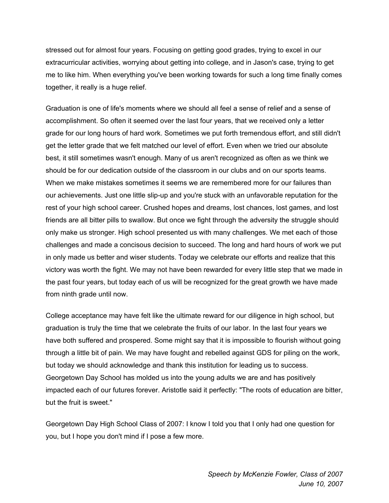stressed out for almost four years. Focusing on getting good grades, trying to excel in our extracurricular activities, worrying about getting into college, and in Jason's case, trying to get me to like him. When everything you've been working towards for such a long time finally comes together, it really is a huge relief.

Graduation is one of life's moments where we should all feel a sense of relief and a sense of accomplishment. So often it seemed over the last four years, that we received only a letter grade for our long hours of hard work. Sometimes we put forth tremendous effort, and still didn't get the letter grade that we felt matched our level of effort. Even when we tried our absolute best, it still sometimes wasn't enough. Many of us aren't recognized as often as we think we should be for our dedication outside of the classroom in our clubs and on our sports teams. When we make mistakes sometimes it seems we are remembered more for our failures than our achievements. Just one little slip-up and you're stuck with an unfavorable reputation for the rest of your high school career. Crushed hopes and dreams, lost chances, lost games, and lost friends are all bitter pills to swallow. But once we fight through the adversity the struggle should only make us stronger. High school presented us with many challenges. We met each of those challenges and made a concisous decision to succeed. The long and hard hours of work we put in only made us better and wiser students. Today we celebrate our efforts and realize that this victory was worth the fight. We may not have been rewarded for every little step that we made in the past four years, but today each of us will be recognized for the great growth we have made from ninth grade until now.

College acceptance may have felt like the ultimate reward for our diligence in high school, but graduation is truly the time that we celebrate the fruits of our labor. In the last four years we have both suffered and prospered. Some might say that it is impossible to flourish without going through a little bit of pain. We may have fought and rebelled against GDS for piling on the work, but today we should acknowledge and thank this institution for leading us to success. Georgetown Day School has molded us into the young adults we are and has positively impacted each of our futures forever. Aristotle said it perfectly: "The roots of education are bitter, but the fruit is sweet."

Georgetown Day High School Class of 2007: I know I told you that I only had one question for you, but I hope you don't mind if I pose a few more.